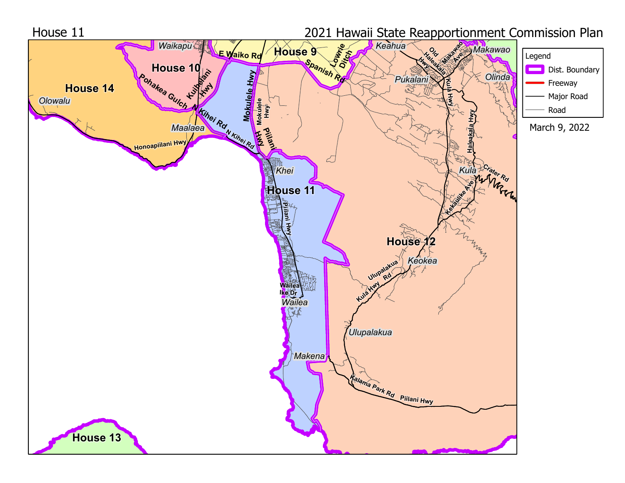